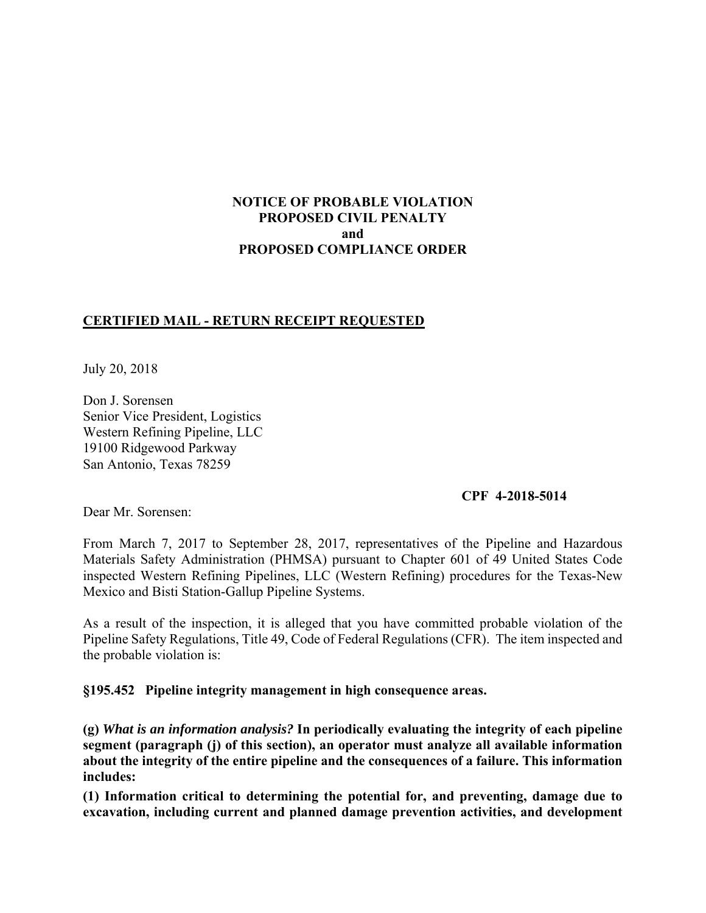## **NOTICE OF PROBABLE VIOLATION PROPOSED CIVIL PENALTY and PROPOSED COMPLIANCE ORDER**

## **CERTIFIED MAIL - RETURN RECEIPT REQUESTED**

July 20, 2018

Don J. Sorensen Senior Vice President, Logistics Western Refining Pipeline, LLC 19100 Ridgewood Parkway San Antonio, Texas 78259

#### **CPF 4-2018-5014**

Dear Mr. Sorensen:

 Materials Safety Administration (PHMSA) pursuant to Chapter 601 of 49 United States Code From March 7, 2017 to September 28, 2017, representatives of the Pipeline and Hazardous inspected Western Refining Pipelines, LLC (Western Refining) procedures for the Texas-New Mexico and Bisti Station-Gallup Pipeline Systems.

 Pipeline Safety Regulations, Title 49, Code of Federal Regulations (CFR). The item inspected and As a result of the inspection, it is alleged that you have committed probable violation of the the probable violation is:

#### **§195.452 Pipeline integrity management in high consequence areas.**

**(g)** *What is an information analysis?* **In periodically evaluating the integrity of each pipeline segment (paragraph (j) of this section), an operator must analyze all available information about the integrity of the entire pipeline and the consequences of a failure. This information includes:** 

**(1) Information critical to determining the potential for, and preventing, damage due to excavation, including current and planned damage prevention activities, and development**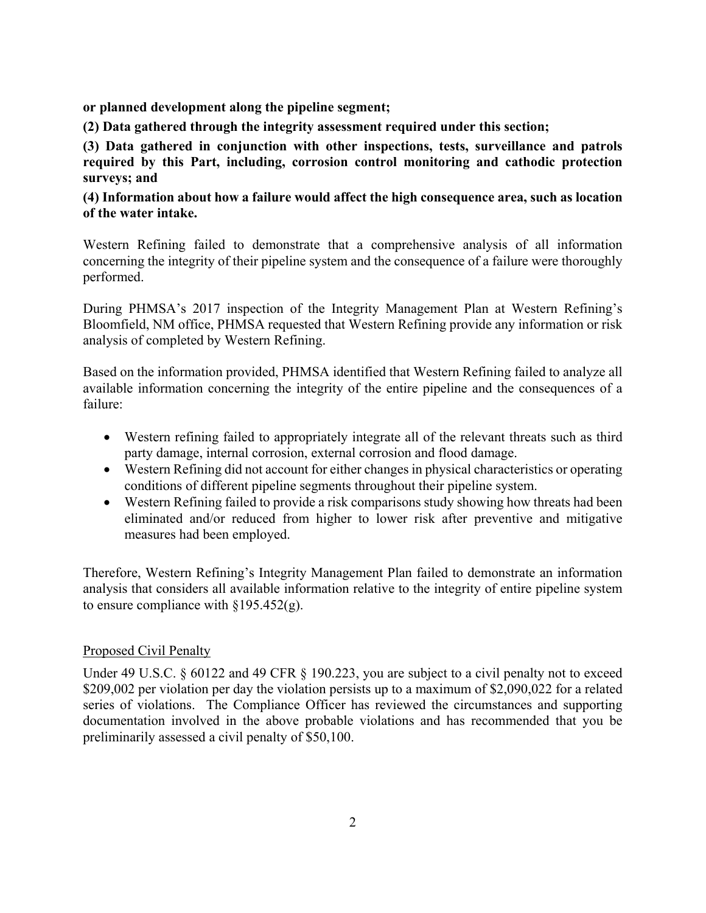**or planned development along the pipeline segment;** 

**(2) Data gathered through the integrity assessment required under this section;** 

 **required by this Part, including, corrosion control monitoring and cathodic protection (3) Data gathered in conjunction with other inspections, tests, surveillance and patrols surveys; and** 

## **(4) Information about how a failure would affect the high consequence area, such as location of the water intake.**

Western Refining failed to demonstrate that a comprehensive analysis of all information concerning the integrity of their pipeline system and the consequence of a failure were thoroughly performed.

During PHMSA's 2017 inspection of the Integrity Management Plan at Western Refining's Bloomfield, NM office, PHMSA requested that Western Refining provide any information or risk analysis of completed by Western Refining.

 available information concerning the integrity of the entire pipeline and the consequences of a Based on the information provided, PHMSA identified that Western Refining failed to analyze all failure:

- Western refining failed to appropriately integrate all of the relevant threats such as third party damage, internal corrosion, external corrosion and flood damage.
- Western Refining did not account for either changes in physical characteristics or operating conditions of different pipeline segments throughout their pipeline system.
- Western Refining failed to provide a risk comparisons study showing how threats had been eliminated and/or reduced from higher to lower risk after preventive and mitigative measures had been employed.

 analysis that considers all available information relative to the integrity of entire pipeline system Therefore, Western Refining's Integrity Management Plan failed to demonstrate an information to ensure compliance with  $\S 195.452(g)$ .

# Proposed Civil Penalty

Under 49 U.S.C. § 60122 and 49 CFR § 190.223, you are subject to a civil penalty not to exceed \$209,002 per violation per day the violation persists up to a maximum of \$2,090,022 for a related series of violations. The Compliance Officer has reviewed the circumstances and supporting documentation involved in the above probable violations and has recommended that you be preliminarily assessed a civil penalty of \$50,100.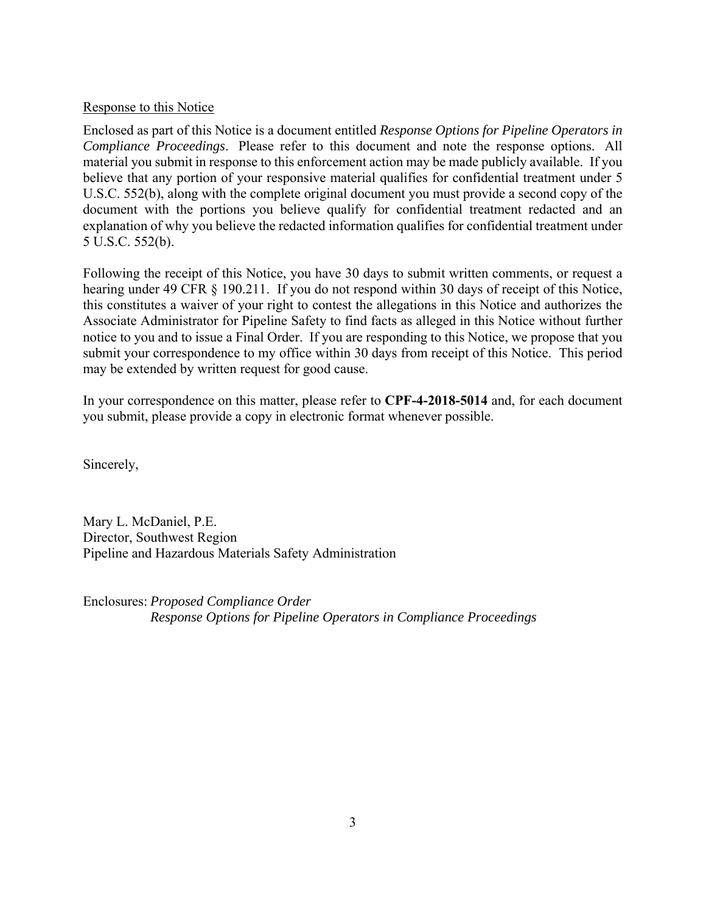### Response to this Notice

 *Compliance Proceedings*. Please refer to this document and note the response options. All Enclosed as part of this Notice is a document entitled *Response Options for Pipeline Operators in*  material you submit in response to this enforcement action may be made publicly available. If you believe that any portion of your responsive material qualifies for confidential treatment under 5 U.S.C. 552(b), along with the complete original document you must provide a second copy of the document with the portions you believe qualify for confidential treatment redacted and an explanation of why you believe the redacted information qualifies for confidential treatment under 5 U.S.C. 552(b).

 submit your correspondence to my office within 30 days from receipt of this Notice. This period Following the receipt of this Notice, you have 30 days to submit written comments, or request a hearing under 49 CFR § 190.211. If you do not respond within 30 days of receipt of this Notice, this constitutes a waiver of your right to contest the allegations in this Notice and authorizes the Associate Administrator for Pipeline Safety to find facts as alleged in this Notice without further notice to you and to issue a Final Order. If you are responding to this Notice, we propose that you may be extended by written request for good cause.

In your correspondence on this matter, please refer to **CPF-4-2018-5014** and, for each document you submit, please provide a copy in electronic format whenever possible.

Sincerely,

Mary L. McDaniel, P.E. Director, Southwest Region Pipeline and Hazardous Materials Safety Administration

Enclosures: *Proposed Compliance Order Response Options for Pipeline Operators in Compliance Proceedings*